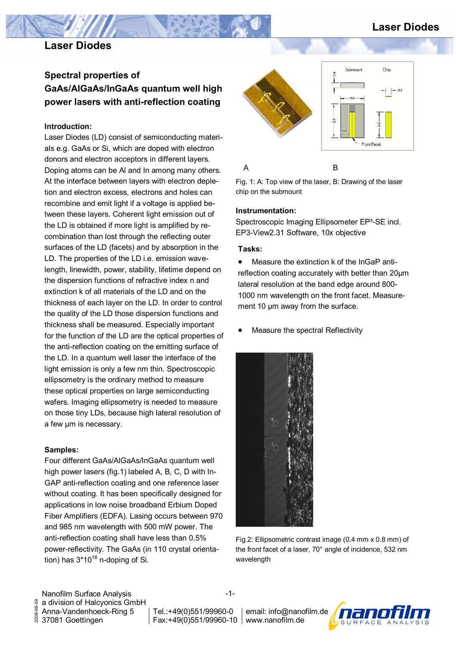# **Laser Diodes**

# **Laser Diodes**

# **Spectral properties of GaAs/AlGaAs/InGaAs quantum well high power lasers with anti-reflection coating**

### **Introduction:**

Laser Diodes (LD) consist of semiconducting materials e.g. GaAs or Si, which are doped with electron donors and electron acceptors in different layers. Doping atoms can be Al and In among many others. At the interface between layers with electron depletion and electron excess, electrons and holes can recombine and emit light if a voltage is applied between these layers. Coherent light emission out of the LD is obtained if more light is amplified by recombination than lost through the reflecting outer surfaces of the LD (facets) and by absorption in the LD. The properties of the LD i.e. emission wavelength, linewidth, power, stability, lifetime depend on the dispersion functions of refractive index n and extinction k of all materials of the LD and on the thickness of each layer on the LD. In order to control the quality of the LD those dispersion functions and thickness shall be measured. Especially important for the function of the LD are the optical properties of the anti-reflection coating on the emitting surface of the LD. In a quantum well laser the interface of the light emission is only a few nm thin. Spectroscopic ellipsometry is the ordinary method to measure these optical properties on large semiconducting wafers. Imaging ellipsometry is needed to measure on those tiny LDs, because high lateral resolution of a few µm is necessary.

## **Samples:**

Four different GaAs/AlGaAs/InGaAs quantum well high power lasers (fig.1) labeled A, B, C, D with In-GAP anti-reflection coating and one reference laser without coating. It has been specifically designed for applications in low noise broadband Erbium Doped Fiber Amplifiers (EDFA). Lasing occurs between 970 and 985 nm wavelength with 500 mW power. The anti-reflection coating shall have less than 0.5% power-reflectivity. The GaAs (in 110 crystal orientation) has  $3*10^{18}$  n-doping of Si.



Fig. 1: A: Top view of the laser, B: Drawing of the laser chip on the submount

#### **Instrumentation:**

Spectroscopic Imaging Ellipsometer EP<sup>3</sup>-SE incl. EP3-View2.31 Software, 10x objective

#### **Tasks:**

• Measure the extinction k of the InGaP antireflection coating accurately with better than 20µm lateral resolution at the band edge around 800- 1000 nm wavelength on the front facet. Measurement 10 µm away from the surface.

• Measure the spectral Reflectivity



Fig.2: Ellipsometric contrast image (0.4 mm x 0.8 mm) of the front facet of a laser, 70° angle of incidence, 532 nm wavelength

Nanofilm Surface Analysis 2008-09-09 a division of Halcyonics GmbH 2008-09-09 Anna-Vandenhoeck-Ring 5 37081 Goettingen

-1-

Tel.:+49(0)551/99960-0 Fax:+49(0)551/99960-10 www.nanofilm.de email: info@nanofilm.de

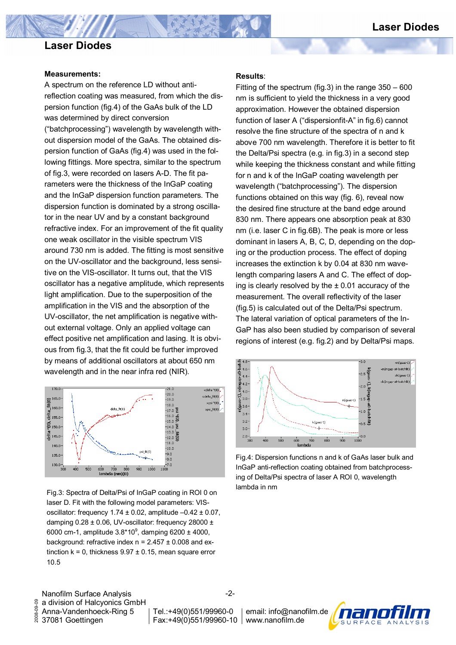# **Laser Diodes**

## **Laser Diodes**

#### **Measurements:**

A spectrum on the reference LD without antireflection coating was measured, from which the dispersion function (fig.4) of the GaAs bulk of the LD was determined by direct conversion ("batchprocessing") wavelength by wavelength without dispersion model of the GaAs. The obtained dispersion function of GaAs (fig.4) was used in the following fittings. More spectra, similar to the spectrum of fig.3, were recorded on lasers A-D. The fit parameters were the thickness of the InGaP coating and the InGaP dispersion function parameters. The dispersion function is dominated by a strong oscillator in the near UV and by a constant background refractive index. For an improvement of the fit quality one weak oscillator in the visible spectrum VIS around 730 nm is added. The fitting is most sensitive on the UV-oscillator and the background, less sensitive on the VIS-oscillator. It turns out, that the VIS oscillator has a negative amplitude, which represents light amplification. Due to the superposition of the amplification in the VIS and the absorption of the UV-oscillator, the net amplification is negative without external voltage. Only an applied voltage can effect positive net amplification and lasing. It is obvious from fig.3, that the fit could be further improved by means of additional oscillators at about 650 nm wavelength and in the near infra red (NIR).



Fig.3: Spectra of Delta/Psi of InGaP coating in ROI 0 on laser D. Fit with the following model parameters: VISoscillator: frequency  $1.74 \pm 0.02$ , amplitude  $-0.42 \pm 0.07$ , damping  $0.28 \pm 0.06$ , UV-oscillator: frequency 28000  $\pm$ 6000 cm-1, amplitude  $3.8*10^9$ , damping 6200 ± 4000, background: refractive index  $n = 2.457 \pm 0.008$  and extinction  $k = 0$ , thickness  $9.97 \pm 0.15$ , mean square error 10.5

#### **Results**:

Fitting of the spectrum (fig.3) in the range 350 – 600 nm is sufficient to yield the thickness in a very good approximation. However the obtained dispersion function of laser A ("dispersionfit-A" in fig.6) cannot resolve the fine structure of the spectra of n and k above 700 nm wavelength. Therefore it is better to fit the Delta/Psi spectra (e.g. in fig.3) in a second step while keeping the thickness constant and while fitting for n and k of the InGaP coating wavelength per wavelength ("batchprocessing"). The dispersion functions obtained on this way (fig. 6), reveal now the desired fine structure at the band edge around 830 nm. There appears one absorption peak at 830 nm (i.e. laser C in fig.6B). The peak is more or less dominant in lasers A, B, C, D, depending on the doping or the production process. The effect of doping increases the extinction k by 0.04 at 830 nm wavelength comparing lasers A and C. The effect of doping is clearly resolved by the  $\pm$  0.01 accuracy of the measurement. The overall reflectivity of the laser (fig.5) is calculated out of the Delta/Psi spectrum. The lateral variation of optical parameters of the In-GaP has also been studied by comparison of several regions of interest (e.g. fig.2) and by Delta/Psi maps.



Fig.4: Dispersion functions n and k of GaAs laser bulk and InGaP anti-reflection coating obtained from batchprocessing of Delta/Psi spectra of laser A ROI 0, wavelength lambda in nm

Nanofilm Surface Analysis 8 2008-09-09 a division of Halcyonics GmbH 2008-09-Anna-Vandenhoeck-Ring 5 37081 Goettingen

-2-

Tel.:+49(0)551/99960-0

Fax:+49(0)551/99960-10 www.nanofilm.de email: info@nanofilm.de